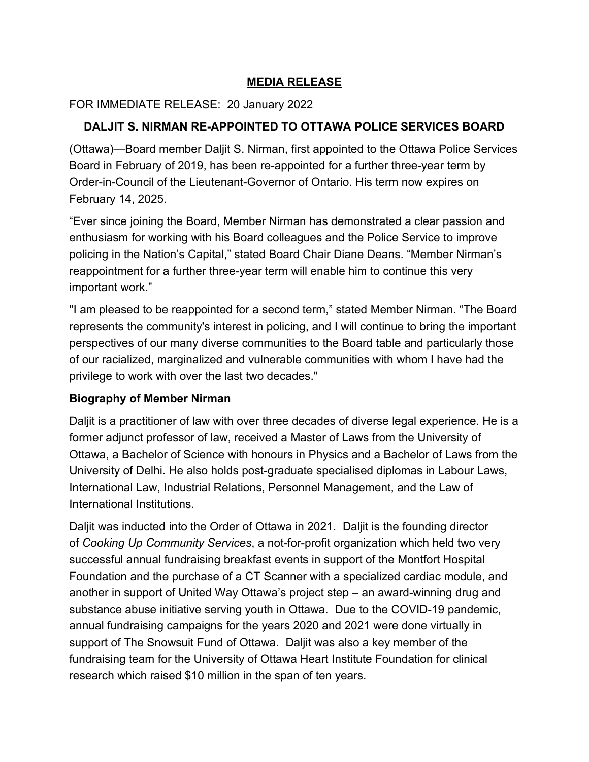## **MEDIA RELEASE**

## FOR IMMEDIATE RELEASE: 20 January 2022

## **DALJIT S. NIRMAN RE-APPOINTED TO OTTAWA POLICE SERVICES BOARD**

(Ottawa)—Board member Daljit S. Nirman, first appointed to the Ottawa Police Services Board in February of 2019, has been re-appointed for a further three-year term by Order-in-Council of the Lieutenant-Governor of Ontario. His term now expires on February 14, 2025.

"Ever since joining the Board, Member Nirman has demonstrated a clear passion and enthusiasm for working with his Board colleagues and the Police Service to improve policing in the Nation's Capital," stated Board Chair Diane Deans. "Member Nirman's reappointment for a further three-year term will enable him to continue this very important work."

"I am pleased to be reappointed for a second term," stated Member Nirman. "The Board represents the community's interest in policing, and I will continue to bring the important perspectives of our many diverse communities to the Board table and particularly those of our racialized, marginalized and vulnerable communities with whom I have had the privilege to work with over the last two decades."

## **Biography of Member Nirman**

Daljit is a practitioner of law with over three decades of diverse legal experience. He is a former adjunct professor of law, received a Master of Laws from the University of Ottawa, a Bachelor of Science with honours in Physics and a Bachelor of Laws from the University of Delhi. He also holds post-graduate specialised diplomas in Labour Laws, International Law, Industrial Relations, Personnel Management, and the Law of International Institutions.

Daljit was inducted into the Order of Ottawa in 2021. Daljit is the founding director of *Cooking Up Community Services*, a not-for-profit organization which held two very successful annual fundraising breakfast events in support of the Montfort Hospital Foundation and the purchase of a CT Scanner with a specialized cardiac module, and another in support of United Way Ottawa's project step – an award-winning drug and substance abuse initiative serving youth in Ottawa. Due to the COVID-19 pandemic, annual fundraising campaigns for the years 2020 and 2021 were done virtually in support of The Snowsuit Fund of Ottawa. Daljit was also a key member of the fundraising team for the University of Ottawa Heart Institute Foundation for clinical research which raised \$10 million in the span of ten years.